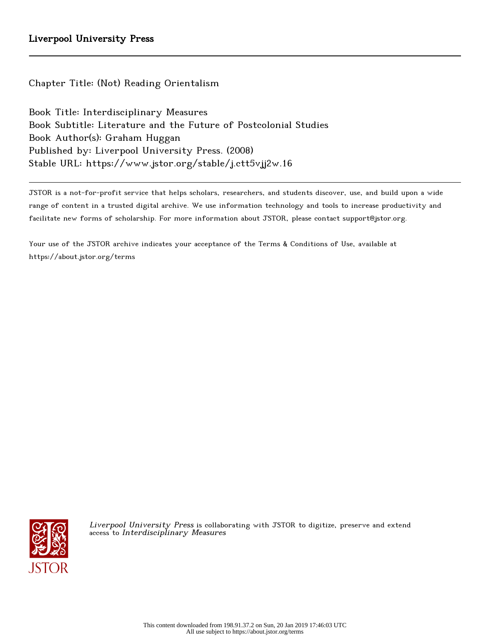Chapter Title: (Not) Reading Orientalism

Book Title: Interdisciplinary Measures Book Subtitle: Literature and the Future of Postcolonial Studies Book Author(s): Graham Huggan Published by: Liverpool University Press. (2008) Stable URL: https://www.jstor.org/stable/j.ctt5vjj2w.16

JSTOR is a not-for-profit service that helps scholars, researchers, and students discover, use, and build upon a wide range of content in a trusted digital archive. We use information technology and tools to increase productivity and facilitate new forms of scholarship. For more information about JSTOR, please contact support@jstor.org.

Your use of the JSTOR archive indicates your acceptance of the Terms & Conditions of Use, available at https://about.jstor.org/terms



Liverpool University Press is collaborating with JSTOR to digitize, preserve and extend access to Interdisciplinary Measures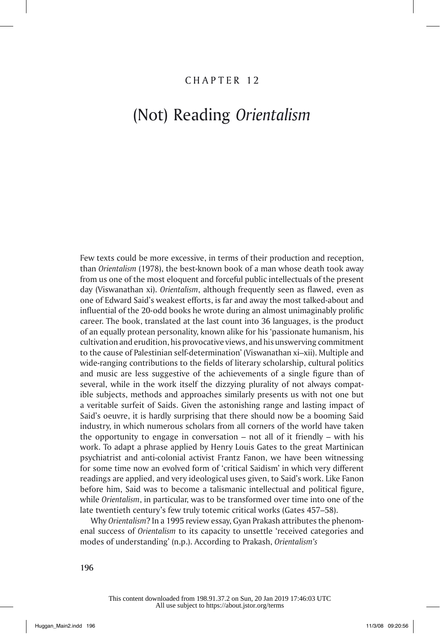## C hapter 12

## (Not) Reading *Orientalism*

Few texts could be more excessive, in terms of their production and reception, than *Orientalism* (1978), the best-known book of a man whose death took away from us one of the most eloquent and forceful public intellectuals of the present day (Viswanathan xi). *Orientalism*, although frequently seen as flawed, even as one of Edward Said's weakest efforts, is far and away the most talked-about and influential of the 20-odd books he wrote during an almost unimaginably prolific career. The book, translated at the last count into 36 languages, is the product of an equally protean personality, known alike for his 'passionate humanism, his cultivation and erudition, his provocative views, and his unswerving commitment to the cause of Palestinian self-determination' (Viswanathan xi–xii). Multiple and wide-ranging contributions to the fields of literary scholarship, cultural politics and music are less suggestive of the achievements of a single figure than of several, while in the work itself the dizzying plurality of not always compatible subjects, methods and approaches similarly presents us with not one but a veritable surfeit of Saids. Given the astonishing range and lasting impact of Said's oeuvre, it is hardly surprising that there should now be a booming Said industry, in which numerous scholars from all corners of the world have taken the opportunity to engage in conversation – not all of it friendly – with his work. To adapt a phrase applied by Henry Louis Gates to the great Martinican psychiatrist and anti-colonial activist Frantz Fanon, we have been witnessing for some time now an evolved form of 'critical Saidism' in which very different readings are applied, and very ideological uses given, to Said's work. Like Fanon before him, Said was to become a talismanic intellectual and political figure, while *Orientalism*, in particular, was to be transformed over time into one of the late twentieth century's few truly totemic critical works (Gates 457–58).

Why *Orientalism*? In a 1995 review essay, Gyan Prakash attributes the phenomenal success of *Orientalism* to its capacity to unsettle 'received categories and modes of understanding' (n.p.). According to Prakash, *Orientalism's*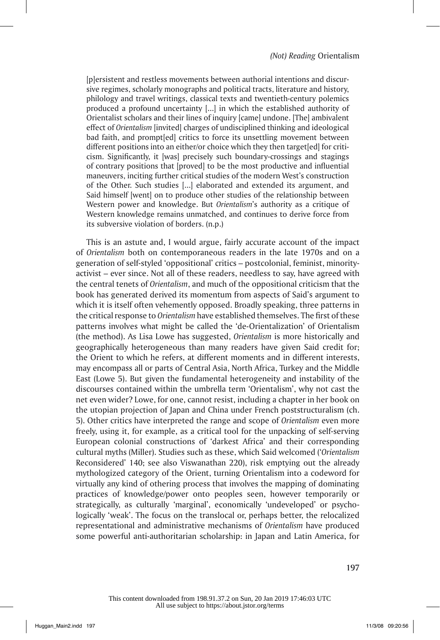[p]ersistent and restless movements between authorial intentions and discursive regimes, scholarly monographs and political tracts, literature and history, philology and travel writings, classical texts and twentieth-century polemics produced a profound uncertainty [...] in which the established authority of Orientalist scholars and their lines of inquiry [came] undone. [The] ambivalent effect of *Orientalism* [invited] charges of undisciplined thinking and ideological bad faith, and prompt[ed] critics to force its unsettling movement between different positions into an either/or choice which they then target[ed] for criticism. Significantly, it [was] precisely such boundary-crossings and stagings of contrary positions that [proved] to be the most productive and influential maneuvers, inciting further critical studies of the modern West's construction of the Other. Such studies [...] elaborated and extended its argument, and Said himself [went] on to produce other studies of the relationship between Western power and knowledge. But *Orientalism*'s authority as a critique of Western knowledge remains unmatched, and continues to derive force from its subversive violation of borders. (n.p.)

This is an astute and, I would argue, fairly accurate account of the impact of *Orientalism* both on contemporaneous readers in the late 1970s and on a generation of self-styled 'oppositional' critics – postcolonial, feminist, minorityactivist – ever since. Not all of these readers, needless to say, have agreed with the central tenets of *Orientalism*, and much of the oppositional criticism that the book has generated derived its momentum from aspects of Said's argument to which it is itself often vehemently opposed. Broadly speaking, three patterns in the critical response to *Orientalism* have established themselves. The first of these patterns involves what might be called the 'de-Orientalization' of Orientalism (the method). As Lisa Lowe has suggested, *Orientalism* is more historically and geographically heterogeneous than many readers have given Said credit for; the Orient to which he refers, at different moments and in different interests, may encompass all or parts of Central Asia, North Africa, Turkey and the Middle East (Lowe 5). But given the fundamental heterogeneity and instability of the discourses contained within the umbrella term 'Orientalism', why not cast the net even wider? Lowe, for one, cannot resist, including a chapter in her book on the utopian projection of Japan and China under French poststructuralism (ch. 5). Other critics have interpreted the range and scope of *Orientalism* even more freely, using it, for example, as a critical tool for the unpacking of self-serving European colonial constructions of 'darkest Africa' and their corresponding cultural myths (Miller). Studies such as these, which Said welcomed ('*Orientalism* Reconsidered' 140; see also Viswanathan 220), risk emptying out the already mythologized category of the Orient, turning Orientalism into a codeword for virtually any kind of othering process that involves the mapping of dominating practices of knowledge/power onto peoples seen, however temporarily or strategically, as culturally 'marginal', economically 'undeveloped' or psychologically 'weak'. The focus on the translocal or, perhaps better, the relocalized representational and administrative mechanisms of *Orientalism* have produced some powerful anti-authoritarian scholarship: in Japan and Latin America, for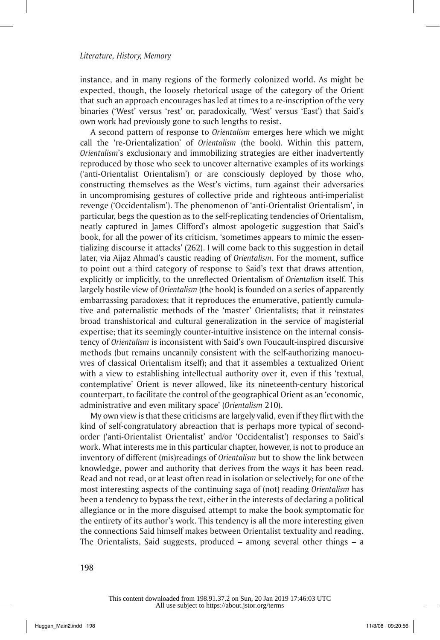instance, and in many regions of the formerly colonized world. As might be expected, though, the loosely rhetorical usage of the category of the Orient that such an approach encourages has led at times to a re-inscription of the very binaries ('West' versus 'rest' or, paradoxically, 'West' versus 'East') that Said's own work had previously gone to such lengths to resist.

A second pattern of response to *Orientalism* emerges here which we might call the 're-Orientalization' of *Orientalism* (the book). Within this pattern, *Orientalism*'s exclusionary and immobilizing strategies are either inadvertently reproduced by those who seek to uncover alternative examples of its workings ('anti-Orientalist Orientalism') or are consciously deployed by those who, constructing themselves as the West's victims, turn against their adversaries in uncompromising gestures of collective pride and righteous anti-imperialist revenge ('Occidentalism'). The phenomenon of 'anti-Orientalist Orientalism', in particular, begs the question as to the self-replicating tendencies of Orientalism, neatly captured in James Clifford's almost apologetic suggestion that Said's book, for all the power of its criticism, 'sometimes appears to mimic the essentializing discourse it attacks' (262). I will come back to this suggestion in detail later, via Aijaz Ahmad's caustic reading of *Orientalism*. For the moment, suffice to point out a third category of response to Said's text that draws attention, explicitly or implicitly, to the unreflected Orientalism of *Orientalism* itself. This largely hostile view of *Orientalism* (the book) is founded on a series of apparently embarrassing paradoxes: that it reproduces the enumerative, patiently cumulative and paternalistic methods of the 'master' Orientalists; that it reinstates broad transhistorical and cultural generalization in the service of magisterial expertise; that its seemingly counter-intuitive insistence on the internal consistency of *Orientalism* is inconsistent with Said's own Foucault-inspired discursive methods (but remains uncannily consistent with the self-authorizing manoeuvres of classical Orientalism itself); and that it assembles a textualized Orient with a view to establishing intellectual authority over it, even if this 'textual, contemplative' Orient is never allowed, like its nineteenth-century historical counterpart, to facilitate the control of the geographical Orient as an 'economic, administrative and even military space' (*Orientalism* 210).

My own view is that these criticisms are largely valid, even if they flirt with the kind of self-congratulatory abreaction that is perhaps more typical of secondorder ('anti-Orientalist Orientalist' and/or 'Occidentalist') responses to Said's work. What interests me in this particular chapter, however, is not to produce an inventory of different (mis)readings of *Orientalism* but to show the link between knowledge, power and authority that derives from the ways it has been read. Read and not read, or at least often read in isolation or selectively; for one of the most interesting aspects of the continuing saga of (not) reading *Orientalism* has been a tendency to bypass the text, either in the interests of declaring a political allegiance or in the more disguised attempt to make the book symptomatic for the entirety of its author's work. This tendency is all the more interesting given the connections Said himself makes between Orientalist textuality and reading. The Orientalists, Said suggests, produced – among several other things – a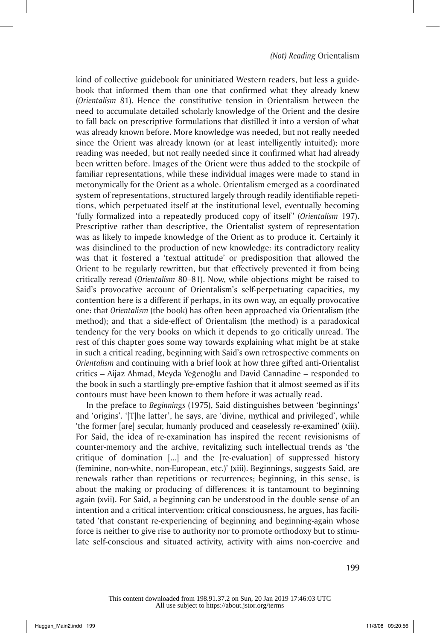kind of collective guidebook for uninitiated Western readers, but less a guidebook that informed them than one that confirmed what they already knew (*Orientalism* 81). Hence the constitutive tension in Orientalism between the need to accumulate detailed scholarly knowledge of the Orient and the desire to fall back on prescriptive formulations that distilled it into a version of what was already known before. More knowledge was needed, but not really needed since the Orient was already known (or at least intelligently intuited); more reading was needed, but not really needed since it confirmed what had already been written before. Images of the Orient were thus added to the stockpile of familiar representations, while these individual images were made to stand in metonymically for the Orient as a whole. Orientalism emerged as a coordinated system of representations, structured largely through readily identifiable repetitions, which perpetuated itself at the institutional level, eventually becoming 'fully formalized into a repeatedly produced copy of itself' (Orientalism 197). Prescriptive rather than descriptive, the Orientalist system of representation was as likely to impede knowledge of the Orient as to produce it. Certainly it was disinclined to the production of new knowledge: its contradictory reality was that it fostered a 'textual attitude' or predisposition that allowed the Orient to be regularly rewritten, but that effectively prevented it from being critically reread (*Orientalism* 80–81). Now, while objections might be raised to Said's provocative account of Orientalism's self-perpetuating capacities, my contention here is a different if perhaps, in its own way, an equally provocative one: that *Orientalism* (the book) has often been approached via Orientalism (the method); and that a side-effect of Orientalism (the method) is a paradoxical tendency for the very books on which it depends to go critically unread. The rest of this chapter goes some way towards explaining what might be at stake in such a critical reading, beginning with Said's own retrospective comments on *Orientalism* and continuing with a brief look at how three gifted anti-Orientalist critics – Aijaz Ahmad, Meyda Yeğenoğlu and David Cannadine – responded to the book in such a startlingly pre-emptive fashion that it almost seemed as if its contours must have been known to them before it was actually read.

In the preface to *Beginnings* (1975), Said distinguishes between 'beginnings' and 'origins'. '[T]he latter', he says, are 'divine, mythical and privileged', while 'the former [are] secular, humanly produced and ceaselessly re-examined' (xiii). For Said, the idea of re-examination has inspired the recent revisionisms of counter-memory and the archive, revitalizing such intellectual trends as 'the critique of domination [...] and the [re-evaluation] of suppressed history (feminine, non-white, non-European, etc.)' (xiii). Beginnings, suggests Said, are renewals rather than repetitions or recurrences; beginning, in this sense, is about the making or producing of differences: it is tantamount to beginning again (xvii). For Said, a beginning can be understood in the double sense of an intention and a critical intervention: critical consciousness, he argues, has facilitated 'that constant re-experiencing of beginning and beginning-again whose force is neither to give rise to authority nor to promote orthodoxy but to stimulate self-conscious and situated activity, activity with aims non-coercive and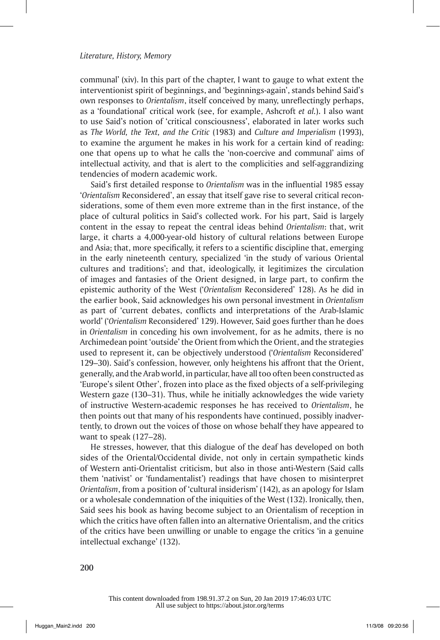communal' (xiv). In this part of the chapter, I want to gauge to what extent the interventionist spirit of beginnings, and 'beginnings-again', stands behind Said's own responses to *Orientalism*, itself conceived by many, unreflectingly perhaps, as a 'foundational' critical work (see, for example, Ashcroft *et al.*). I also want to use Said's notion of 'critical consciousness', elaborated in later works such as *The World, the Text, and the Critic* (1983) and *Culture and Imperialism* (1993), to examine the argument he makes in his work for a certain kind of reading: one that opens up to what he calls the 'non-coercive and communal' aims of intellectual activity, and that is alert to the complicities and self-aggrandizing tendencies of modern academic work.

Said's first detailed response to *Orientalism* was in the influential 1985 essay '*Orientalism* Reconsidered', an essay that itself gave rise to several critical reconsiderations, some of them even more extreme than in the first instance, of the place of cultural politics in Said's collected work. For his part, Said is largely content in the essay to repeat the central ideas behind *Orientalism*: that, writ large, it charts a 4,000-year-old history of cultural relations between Europe and Asia; that, more specifically, it refers to a scientific discipline that, emerging in the early nineteenth century, specialized 'in the study of various Oriental cultures and traditions'; and that, ideologically, it legitimizes the circulation of images and fantasies of the Orient designed, in large part, to confirm the epistemic authority of the West ('*Orientalism* Reconsidered' 128). As he did in the earlier book, Said acknowledges his own personal investment in *Orientalism* as part of 'current debates, conflicts and interpretations of the Arab-Islamic world' ('*Orientalism* Reconsidered' 129). However, Said goes further than he does in *Orientalism* in conceding his own involvement, for as he admits, there is no Archimedean point 'outside' the Orient from which the Orient, and the strategies used to represent it, can be objectively understood ('*Orientalism* Reconsidered' 129–30). Said's confession, however, only heightens his affront that the Orient, generally, and the Arab world, in particular, have all too often been constructed as 'Europe's silent Other', frozen into place as the fixed objects of a self-privileging Western gaze (130–31). Thus, while he initially acknowledges the wide variety of instructive Western-academic responses he has received to *Orientalism*, he then points out that many of his respondents have continued, possibly inadvertently, to drown out the voices of those on whose behalf they have appeared to want to speak (127–28).

He stresses, however, that this dialogue of the deaf has developed on both sides of the Oriental/Occidental divide, not only in certain sympathetic kinds of Western anti-Orientalist criticism, but also in those anti-Western (Said calls them 'nativist' or 'fundamentalist') readings that have chosen to misinterpret *Orientalism*, from a position of 'cultural insiderism' (142), as an apology for Islam or a wholesale condemnation of the iniquities of the West (132). Ironically, then, Said sees his book as having become subject to an Orientalism of reception in which the critics have often fallen into an alternative Orientalism, and the critics of the critics have been unwilling or unable to engage the critics 'in a genuine intellectual exchange' (132).

200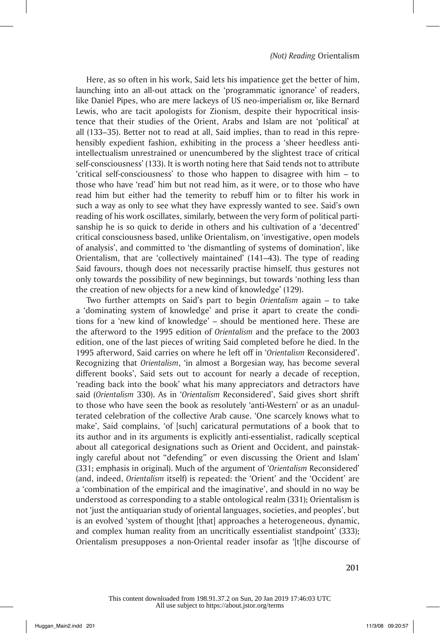Here, as so often in his work, Said lets his impatience get the better of him, launching into an all-out attack on the 'programmatic ignorance' of readers, like Daniel Pipes, who are mere lackeys of US neo-imperialism or, like Bernard Lewis, who are tacit apologists for Zionism, despite their hypocritical insistence that their studies of the Orient, Arabs and Islam are not 'political' at all (133–35). Better not to read at all, Said implies, than to read in this reprehensibly expedient fashion, exhibiting in the process a 'sheer heedless antiintellectualism unrestrained or unencumbered by the slightest trace of critical self-consciousness' (133). It is worth noting here that Said tends not to attribute 'critical self-consciousness' to those who happen to disagree with him – to those who have 'read' him but not read him, as it were, or to those who have read him but either had the temerity to rebuff him or to filter his work in such a way as only to see what they have expressly wanted to see. Said's own reading of his work oscillates, similarly, between the very form of political partisanship he is so quick to deride in others and his cultivation of a 'decentred' critical consciousness based, unlike Orientalism, on 'investigative, open models of analysis', and committed to 'the dismantling of systems of domination', like Orientalism, that are 'collectively maintained' (141–43). The type of reading Said favours, though does not necessarily practise himself, thus gestures not only towards the possibility of new beginnings, but towards 'nothing less than the creation of new objects for a new kind of knowledge' (129).

Two further attempts on Said's part to begin *Orientalism* again – to take a 'dominating system of knowledge' and prise it apart to create the conditions for a 'new kind of knowledge' – should be mentioned here. These are the afterword to the 1995 edition of *Orientalism* and the preface to the 2003 edition, one of the last pieces of writing Said completed before he died. In the 1995 afterword, Said carries on where he left off in '*Orientalism* Reconsidered'. Recognizing that *Orientalism*, 'in almost a Borgesian way, has become several different books', Said sets out to account for nearly a decade of reception, 'reading back into the book' what his many appreciators and detractors have said (*Orientalism* 330). As in '*Orientalism* Reconsidered', Said gives short shrift to those who have seen the book as resolutely 'anti-Western' or as an unadulterated celebration of the collective Arab cause. 'One scarcely knows what to make', Said complains, 'of [such] caricatural permutations of a book that to its author and in its arguments is explicitly anti-essentialist, radically sceptical about all categorical designations such as Orient and Occident, and painstakingly careful about not "defending" or even discussing the Orient and Islam' (331; emphasis in original). Much of the argument of '*Orientalism* Reconsidered' (and, indeed, *Orientalism* itself) is repeated: the 'Orient' and the 'Occident' are a 'combination of the empirical and the imaginative', and should in no way be understood as corresponding to a stable ontological realm (331); Orientalism is not 'just the antiquarian study of oriental languages, societies, and peoples', but is an evolved 'system of thought [that] approaches a heterogeneous, dynamic, and complex human reality from an uncritically essentialist standpoint' (333); Orientalism presupposes a non-Oriental reader insofar as '[t]he discourse of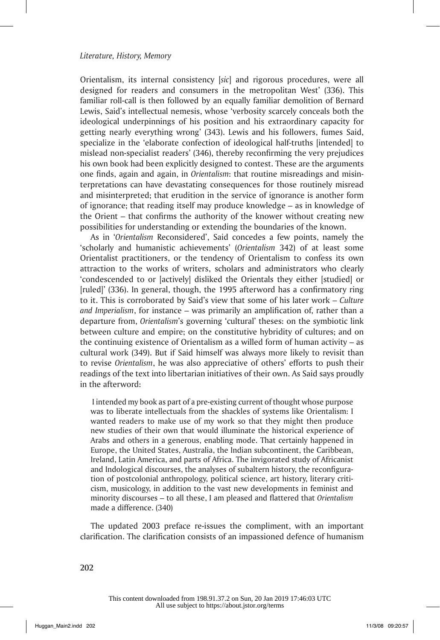Orientalism, its internal consistency [*sic*] and rigorous procedures, were all designed for readers and consumers in the metropolitan West' (336). This familiar roll-call is then followed by an equally familiar demolition of Bernard Lewis, Said's intellectual nemesis, whose 'verbosity scarcely conceals both the ideological underpinnings of his position and his extraordinary capacity for getting nearly everything wrong' (343). Lewis and his followers, fumes Said, specialize in the 'elaborate confection of ideological half-truths [intended] to mislead non-specialist readers' (346), thereby reconfirming the very prejudices his own book had been explicitly designed to contest. These are the arguments one finds, again and again, in *Orientalism*: that routine misreadings and misinterpretations can have devastating consequences for those routinely misread and misinterpreted; that erudition in the service of ignorance is another form of ignorance; that reading itself may produce knowledge – as in knowledge of the Orient – that confirms the authority of the knower without creating new possibilities for understanding or extending the boundaries of the known.

As in '*Orientalism* Reconsidered', Said concedes a few points, namely the 'scholarly and humanistic achievements' (*Orientalism* 342) of at least some Orientalist practitioners, or the tendency of Orientalism to confess its own attraction to the works of writers, scholars and administrators who clearly 'condescended to or [actively] disliked the Orientals they either [studied] or [ruled]' (336). In general, though, the 1995 afterword has a confirmatory ring to it. This is corroborated by Said's view that some of his later work – *Culture and Imperialism*, for instance – was primarily an amplification of, rather than a departure from, *Orientalism*'s governing 'cultural' theses: on the symbiotic link between culture and empire; on the constitutive hybridity of cultures; and on the continuing existence of Orientalism as a willed form of human activity – as cultural work (349). But if Said himself was always more likely to revisit than to revise *Orientalism*, he was also appreciative of others' efforts to push their readings of the text into libertarian initiatives of their own. As Said says proudly in the afterword:

 I intended my book as part of a pre-existing current of thought whose purpose was to liberate intellectuals from the shackles of systems like Orientalism: I wanted readers to make use of my work so that they might then produce new studies of their own that would illuminate the historical experience of Arabs and others in a generous, enabling mode. That certainly happened in Europe, the United States, Australia, the Indian subcontinent, the Caribbean, Ireland, Latin America, and parts of Africa. The invigorated study of Africanist and Indological discourses, the analyses of subaltern history, the reconfiguration of postcolonial anthropology, political science, art history, literary criticism, musicology, in addition to the vast new developments in feminist and minority discourses – to all these, I am pleased and flattered that *Orientalism* made a difference. (340)

The updated 2003 preface re-issues the compliment, with an important clarification. The clarification consists of an impassioned defence of humanism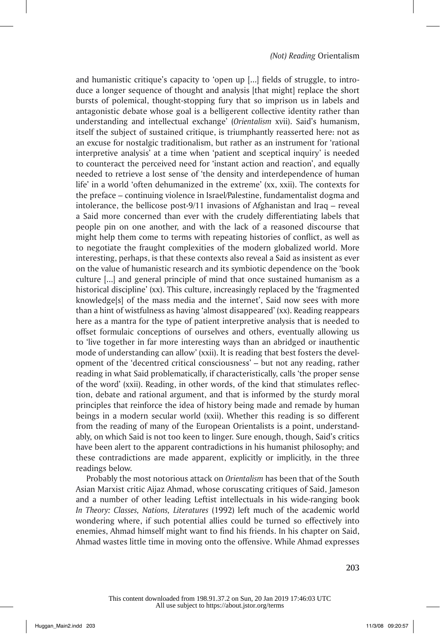and humanistic critique's capacity to 'open up [...] fields of struggle, to introduce a longer sequence of thought and analysis [that might] replace the short bursts of polemical, thought-stopping fury that so imprison us in labels and antagonistic debate whose goal is a belligerent collective identity rather than understanding and intellectual exchange' (*Orientalism* xvii). Said's humanism, itself the subject of sustained critique, is triumphantly reasserted here: not as an excuse for nostalgic traditionalism, but rather as an instrument for 'rational interpretive analysis' at a time when 'patient and sceptical inquiry' is needed to counteract the perceived need for 'instant action and reaction', and equally needed to retrieve a lost sense of 'the density and interdependence of human life' in a world 'often dehumanized in the extreme' (xx, xxii). The contexts for the preface – continuing violence in Israel/Palestine, fundamentalist dogma and intolerance, the bellicose post-9/11 invasions of Afghanistan and Iraq – reveal a Said more concerned than ever with the crudely differentiating labels that people pin on one another, and with the lack of a reasoned discourse that might help them come to terms with repeating histories of conflict, as well as to negotiate the fraught complexities of the modern globalized world. More interesting, perhaps, is that these contexts also reveal a Said as insistent as ever on the value of humanistic research and its symbiotic dependence on the 'book culture [...] and general principle of mind that once sustained humanism as a historical discipline' (xx). This culture, increasingly replaced by the 'fragmented knowledge[s] of the mass media and the internet', Said now sees with more than a hint of wistfulness as having 'almost disappeared' (xx). Reading reappears here as a mantra for the type of patient interpretive analysis that is needed to offset formulaic conceptions of ourselves and others, eventually allowing us to 'live together in far more interesting ways than an abridged or inauthentic mode of understanding can allow' (xxii). It is reading that best fosters the development of the 'decentred critical consciousness' – but not any reading, rather reading in what Said problematically, if characteristically, calls 'the proper sense of the word' (xxii). Reading, in other words, of the kind that stimulates reflection, debate and rational argument, and that is informed by the sturdy moral principles that reinforce the idea of history being made and remade by human beings in a modern secular world (xxii). Whether this reading is so different from the reading of many of the European Orientalists is a point, understandably, on which Said is not too keen to linger. Sure enough, though, Said's critics have been alert to the apparent contradictions in his humanist philosophy; and these contradictions are made apparent, explicitly or implicitly, in the three readings below.

Probably the most notorious attack on *Orientalism* has been that of the South Asian Marxist critic Aijaz Ahmad, whose coruscating critiques of Said, Jameson and a number of other leading Leftist intellectuals in his wide-ranging book *In Theory: Classes, Nations, Literatures* (1992) left much of the academic world wondering where, if such potential allies could be turned so effectively into enemies, Ahmad himself might want to find his friends. In his chapter on Said, Ahmad wastes little time in moving onto the offensive. While Ahmad expresses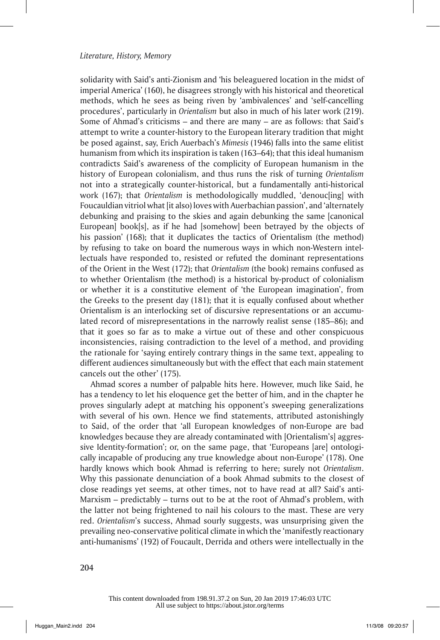solidarity with Said's anti-Zionism and 'his beleaguered location in the midst of imperial America' (160), he disagrees strongly with his historical and theoretical methods, which he sees as being riven by 'ambivalences' and 'self-cancelling procedures', particularly in *Orientalism* but also in much of his later work (219). Some of Ahmad's criticisms – and there are many – are as follows: that Said's attempt to write a counter-history to the European literary tradition that might be posed against, say, Erich Auerbach's *Mimesis* (1946) falls into the same elitist humanism from which its inspiration is taken (163–64); that this ideal humanism contradicts Said's awareness of the complicity of European humanism in the history of European colonialism, and thus runs the risk of turning *Orientalism* not into a strategically counter-historical, but a fundamentally anti-historical work (167); that *Orientalism* is methodologically muddled, 'denouc[ing] with Foucauldian vitriol what [it also) loves with Auerbachian passion', and 'alternately debunking and praising to the skies and again debunking the same [canonical European] book[s], as if he had [somehow] been betrayed by the objects of his passion' (168); that it duplicates the tactics of Orientalism (the method) by refusing to take on board the numerous ways in which non-Western intellectuals have responded to, resisted or refuted the dominant representations of the Orient in the West (172); that *Orientalism* (the book) remains confused as to whether Orientalism (the method) is a historical by-product of colonialism or whether it is a constitutive element of 'the European imagination', from the Greeks to the present day (181); that it is equally confused about whether Orientalism is an interlocking set of discursive representations or an accumulated record of misrepresentations in the narrowly realist sense (185–86); and that it goes so far as to make a virtue out of these and other conspicuous inconsistencies, raising contradiction to the level of a method, and providing the rationale for 'saying entirely contrary things in the same text, appealing to different audiences simultaneously but with the effect that each main statement cancels out the other' (175).

Ahmad scores a number of palpable hits here. However, much like Said, he has a tendency to let his eloquence get the better of him, and in the chapter he proves singularly adept at matching his opponent's sweeping generalizations with several of his own. Hence we find statements, attributed astonishingly to Said, of the order that 'all European knowledges of non-Europe are bad knowledges because they are already contaminated with [Orientalism's] aggressive Identity-formation'; or, on the same page, that 'Europeans [are] ontologically incapable of producing any true knowledge about non-Europe' (178). One hardly knows which book Ahmad is referring to here; surely not *Orientalism*. Why this passionate denunciation of a book Ahmad submits to the closest of close readings yet seems, at other times, not to have read at all? Said's anti-Marxism – predictably – turns out to be at the root of Ahmad's problem, with the latter not being frightened to nail his colours to the mast. These are very red. *Orientalism*'s success, Ahmad sourly suggests, was unsurprising given the prevailing neo-conservative political climate in which the 'manifestly reactionary anti-humanisms' (192) of Foucault, Derrida and others were intellectually in the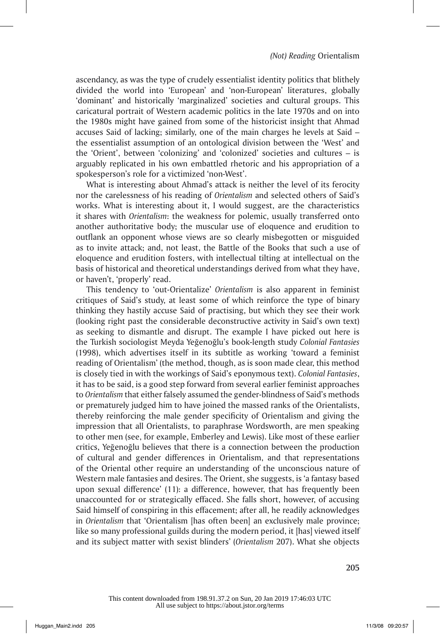ascendancy, as was the type of crudely essentialist identity politics that blithely divided the world into 'European' and 'non-European' literatures, globally 'dominant' and historically 'marginalized' societies and cultural groups. This caricatural portrait of Western academic politics in the late 1970s and on into the 1980s might have gained from some of the historicist insight that Ahmad accuses Said of lacking; similarly, one of the main charges he levels at Said – the essentialist assumption of an ontological division between the 'West' and the 'Orient', between 'colonizing' and 'colonized' societies and cultures – is arguably replicated in his own embattled rhetoric and his appropriation of a spokesperson's role for a victimized 'non-West'.

What is interesting about Ahmad's attack is neither the level of its ferocity nor the carelessness of his reading of *Orientalism* and selected others of Said's works. What is interesting about it, I would suggest, are the characteristics it shares with *Orientalism*: the weakness for polemic, usually transferred onto another authoritative body; the muscular use of eloquence and erudition to outflank an opponent whose views are so clearly misbegotten or misguided as to invite attack; and, not least, the Battle of the Books that such a use of eloquence and erudition fosters, with intellectual tilting at intellectual on the basis of historical and theoretical understandings derived from what they have, or haven't, 'properly' read.

This tendency to 'out-Orientalize' *Orientalism* is also apparent in feminist critiques of Said's study, at least some of which reinforce the type of binary thinking they hastily accuse Said of practising, but which they see their work (looking right past the considerable deconstructive activity in Said's own text) as seeking to dismantle and disrupt. The example I have picked out here is the Turkish sociologist Meyda Yeğenoğlu's book-length study *Colonial Fantasies* (1998), which advertises itself in its subtitle as working 'toward a feminist reading of Orientalism' (the method, though, as is soon made clear, this method is closely tied in with the workings of Said's eponymous text). *Colonial Fantasies*, it has to be said, is a good step forward from several earlier feminist approaches to *Orientalism* that either falsely assumed the gender-blindness of Said's methods or prematurely judged him to have joined the massed ranks of the Orientalists, thereby reinforcing the male gender specificity of Orientalism and giving the impression that all Orientalists, to paraphrase Wordsworth, are men speaking to other men (see, for example, Emberley and Lewis). Like most of these earlier critics, Yeğenoğlu believes that there is a connection between the production of cultural and gender differences in Orientalism, and that representations of the Oriental other require an understanding of the unconscious nature of Western male fantasies and desires. The Orient, she suggests, is 'a fantasy based upon sexual difference' (11): a difference, however, that has frequently been unaccounted for or strategically effaced. She falls short, however, of accusing Said himself of conspiring in this effacement; after all, he readily acknowledges in *Orientalism* that 'Orientalism [has often been] an exclusively male province; like so many professional guilds during the modern period, it [has] viewed itself and its subject matter with sexist blinders' (*Orientalism* 207). What she objects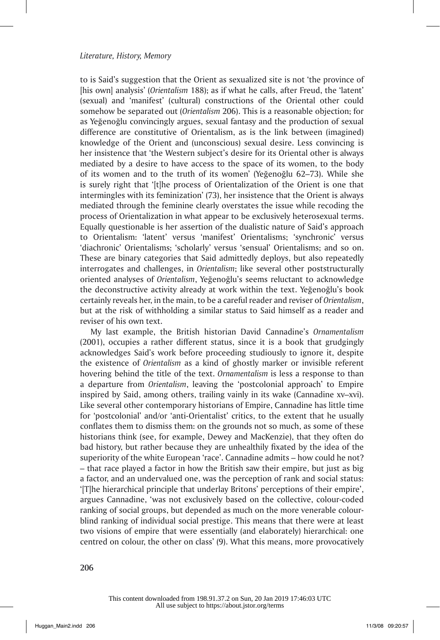to is Said's suggestion that the Orient as sexualized site is not 'the province of [his own] analysis' (*Orientalism* 188); as if what he calls, after Freud, the 'latent' (sexual) and 'manifest' (cultural) constructions of the Oriental other could somehow be separated out (*Orientalism* 206). This is a reasonable objection; for as Yeğenoğlu convincingly argues, sexual fantasy and the production of sexual difference are constitutive of Orientalism, as is the link between (imagined) knowledge of the Orient and (unconscious) sexual desire. Less convincing is her insistence that 'the Western subject's desire for its Oriental other is always mediated by a desire to have access to the space of its women, to the body of its women and to the truth of its women' (Yeğenoğlu 62–73). While she is surely right that '[t]he process of Orientalization of the Orient is one that intermingles with its feminization' (73), her insistence that the Orient is always mediated through the feminine clearly overstates the issue while recoding the process of Orientalization in what appear to be exclusively heterosexual terms. Equally questionable is her assertion of the dualistic nature of Said's approach to Orientalism: 'latent' versus 'manifest' Orientalisms; 'synchronic' versus 'diachronic' Orientalisms; 'scholarly' versus 'sensual' Orientalisms; and so on. These are binary categories that Said admittedly deploys, but also repeatedly interrogates and challenges, in *Orientalism*; like several other poststructurally oriented analyses of *Orientalism*, Yeğenoğlu's seems reluctant to acknowledge the deconstructive activity already at work within the text. Yeğenoğlu's book certainly reveals her, in the main, to be a careful reader and reviser of *Orientalism*, but at the risk of withholding a similar status to Said himself as a reader and reviser of his own text.

My last example, the British historian David Cannadine's *Ornamentalism* (2001), occupies a rather different status, since it is a book that grudgingly acknowledges Said's work before proceeding studiously to ignore it, despite the existence of *Orientalism* as a kind of ghostly marker or invisible referent hovering behind the title of the text. *Ornamentalism* is less a response to than a departure from *Orientalism*, leaving the 'postcolonial approach' to Empire inspired by Said, among others, trailing vainly in its wake (Cannadine xv–xvi). Like several other contemporary historians of Empire, Cannadine has little time for 'postcolonial' and/or 'anti-Orientalist' critics, to the extent that he usually conflates them to dismiss them: on the grounds not so much, as some of these historians think (see, for example, Dewey and MacKenzie), that they often do bad history, but rather because they are unhealthily fixated by the idea of the superiority of the white European 'race'. Cannadine admits – how could he not? – that race played a factor in how the British saw their empire, but just as big a factor, and an undervalued one, was the perception of rank and social status: '[T]he hierarchical principle that underlay Britons' perceptions of their empire', argues Cannadine, 'was not exclusively based on the collective, colour-coded ranking of social groups, but depended as much on the more venerable colourblind ranking of individual social prestige. This means that there were at least two visions of empire that were essentially (and elaborately) hierarchical: one centred on colour, the other on class' (9). What this means, more provocatively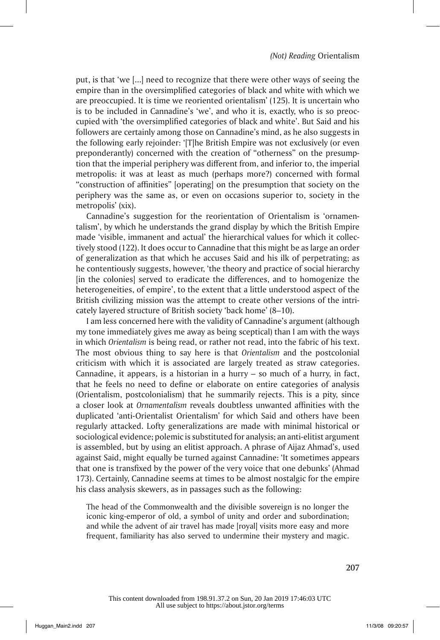put, is that 'we [...] need to recognize that there were other ways of seeing the empire than in the oversimplified categories of black and white with which we are preoccupied. It is time we reoriented orientalism' (125). It is uncertain who is to be included in Cannadine's 'we', and who it is, exactly, who is so preoccupied with 'the oversimplified categories of black and white'. But Said and his followers are certainly among those on Cannadine's mind, as he also suggests in the following early rejoinder: '[T]he British Empire was not exclusively (or even preponderantly) concerned with the creation of "otherness" on the presumption that the imperial periphery was different from, and inferior to, the imperial metropolis: it was at least as much (perhaps more?) concerned with formal "construction of affinities" [operating] on the presumption that society on the periphery was the same as, or even on occasions superior to, society in the metropolis' (xix).

Cannadine's suggestion for the reorientation of Orientalism is 'ornamentalism', by which he understands the grand display by which the British Empire made 'visible, immanent and actual' the hierarchical values for which it collectively stood (122). It does occur to Cannadine that this might be as large an order of generalization as that which he accuses Said and his ilk of perpetrating; as he contentiously suggests, however, 'the theory and practice of social hierarchy [in the colonies] served to eradicate the differences, and to homogenize the heterogeneities, of empire', to the extent that a little understood aspect of the British civilizing mission was the attempt to create other versions of the intricately layered structure of British society 'back home' (8–10).

I am less concerned here with the validity of Cannadine's argument (although my tone immediately gives me away as being sceptical) than I am with the ways in which *Orientalism* is being read, or rather not read, into the fabric of his text. The most obvious thing to say here is that *Orientalism* and the postcolonial criticism with which it is associated are largely treated as straw categories. Cannadine, it appears, is a historian in a hurry – so much of a hurry, in fact, that he feels no need to define or elaborate on entire categories of analysis (Orientalism, postcolonialism) that he summarily rejects. This is a pity, since a closer look at *Ornamentalism* reveals doubtless unwanted affinities with the duplicated 'anti-Orientalist Orientalism' for which Said and others have been regularly attacked. Lofty generalizations are made with minimal historical or sociological evidence; polemic is substituted for analysis; an anti-elitist argument is assembled, but by using an elitist approach. A phrase of Aijaz Ahmad's, used against Said, might equally be turned against Cannadine: 'It sometimes appears that one is transfixed by the power of the very voice that one debunks' (Ahmad 173). Certainly, Cannadine seems at times to be almost nostalgic for the empire his class analysis skewers, as in passages such as the following:

The head of the Commonwealth and the divisible sovereign is no longer the iconic king-emperor of old, a symbol of unity and order and subordination; and while the advent of air travel has made [royal] visits more easy and more frequent, familiarity has also served to undermine their mystery and magic.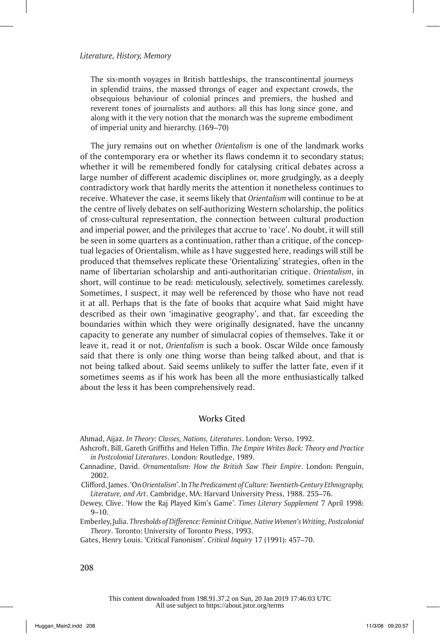The six-month voyages in British battleships, the transcontinental journeys in splendid trains, the massed throngs of eager and expectant crowds, the obsequious behaviour of colonial princes and premiers, the hushed and reverent tones of journalists and authors: all this has long since gone, and along with it the very notion that the monarch was the supreme embodiment of imperial unity and hierarchy. (169–70)

The jury remains out on whether *Orientalism* is one of the landmark works of the contemporary era or whether its flaws condemn it to secondary status; whether it will be remembered fondly for catalysing critical debates across a large number of different academic disciplines or, more grudgingly, as a deeply contradictory work that hardly merits the attention it nonetheless continues to receive. Whatever the case, it seems likely that *Orientalism* will continue to be at the centre of lively debates on self-authorizing Western scholarship, the politics of cross-cultural representation, the connection between cultural production and imperial power, and the privileges that accrue to 'race'. No doubt, it will still be seen in some quarters as a continuation, rather than a critique, of the conceptual legacies of Orientalism, while as I have suggested here, readings will still be produced that themselves replicate these 'Orientalizing' strategies, often in the name of libertarian scholarship and anti-authoritarian critique. *Orientalism*, in short, will continue to be read: meticulously, selectively, sometimes carelessly. Sometimes, I suspect, it may well be referenced by those who have not read it at all. Perhaps that is the fate of books that acquire what Said might have described as their own 'imaginative geography', and that, far exceeding the boundaries within which they were originally designated, have the uncanny capacity to generate any number of simulacral copies of themselves. Take it or leave it, read it or not, *Orientalism* is such a book. Oscar Wilde once famously said that there is only one thing worse than being talked about, and that is not being talked about. Said seems unlikely to suffer the latter fate, even if it sometimes seems as if his work has been all the more enthusiastically talked about the less it has been comprehensively read.

## Works Cited

Ahmad, Aijaz. *In Theory: Classes, Nations, Literatures*. London: Verso, 1992.

- Ashcroft, Bill, Gareth Griffiths and Helen Tiffin. *The Empire Writes Back: Theory and Practice in Postcolonial Literatures*. London: Routledge, 1989.
- Cannadine, David. *Ornamentalism*: *How the British Saw Their Empire*. London: Penguin, 2002.
- Clifford, James. 'On *Orientalism*'. In *The Predicament of Culture: Twentieth-Century Ethnography, Literature, and Art*. Cambridge, MA: Harvard University Press, 1988. 255–76.
- Dewey, Clive. 'How the Raj Played Kim's Game'. *Times Literary Supplement* 7 April 1998: 9–10.

Emberley, Julia. *Thresholds of Difference: Feminist Critique, Native Women's Writing, Postcolonial Theory*. Toronto: University of Toronto Press, 1993.

Gates, Henry Louis. 'Critical Fanonism'. *Critical Inquiry* 17 (1991): 457–70.